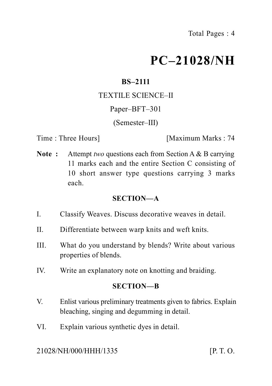# **PC–21028/NH**

# **BS–2111**

## TEXTILE SCIENCE–II

## Paper–BFT–301

## (Semester–III)

Time : Three Hours **I** [Maximum Marks : 74]

**Note :** Attempt *two* questions each from Section A & B carrying 11 marks each and the entire Section C consisting of 10 short answer type questions carrying 3 marks each.

## **SECTION—A**

- I. Classify Weaves. Discuss decorative weaves in detail.
- II. Differentiate between warp knits and weft knits.
- III. What do you understand by blends? Write about various properties of blends.
- IV. Write an explanatory note on knotting and braiding.

## **SECTION—B**

- V. Enlist various preliminary treatments given to fabrics. Explain bleaching, singing and degumming in detail.
- VI. Explain various synthetic dyes in detail.

## 21028/NH/000/HHH/1335 [P. T. O.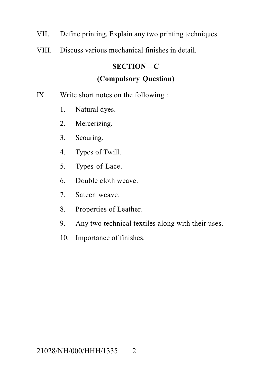- VII. Define printing. Explain any two printing techniques.
- VIII. Discuss various mechanical finishes in detail.

# **SECTION—C**

# **(Compulsory Question)**

- IX. Write short notes on the following :
	- 1. Natural dyes.
	- 2. Mercerizing.
	- 3. Scouring.
	- 4. Types of Twill.
	- 5. Types of Lace.
	- 6. Double cloth weave.
	- 7. Sateen weave.
	- 8. Properties of Leather.
	- 9. Any two technical textiles along with their uses.
	- 10. Importance of finishes.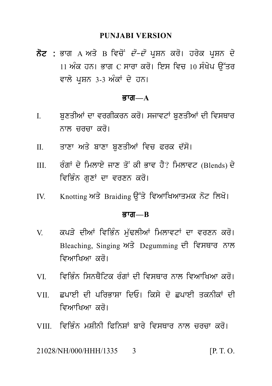PUNJABI VERSION<br>ਨੋਟ : ਭਾਗ A ਅਤੇ B ਵਿਚੋਂ *ਦੋ–ਦੋ* ਪ੍ਰਸ਼ਨ ਕਰੋ। ਹਰੇਕ ਪ੍ਰਸ਼ਨ ਦੇ<br>11 ਅੰਕ ਹਨ। ਭਾਗ C ਸਾਰਾ ਕਰੋ। ਇਸ ਵਿਚ 10 ਸੰਖੇਪ ਉੱਤਰ<br>ਵਾਲੇ ਪੁਸ਼ਨ 3-3 ਅੰਕਾਂ ਦੇ ਹਨ। PUNJABI VERSION<br>ਭਾਗ A ਅਤੇ B ਵਿਚੋਂ *ਦੋ–ਦੋ* ਪ੍ਰਸ਼ਨ ਕਰੋ। ਹਰੇਕ ਪ੍ਰਸ਼ਨ ਦੇ<br>11 ਅੰਕ ਹਨ। ਭਾਗ C ਸਾਰਾ ਕਰੋ। ਇਸ ਵਿਚ 10 ਸੰਖੇਪ ਉੱਤਰ<br>ਵਾਲੇ ਪ੍ਰਸ਼ਨ 3-3 ਅੰਕਾਂ ਦੇ ਹਨ। ਨੋਟ : ਭਾਗ A ਅਤੇ B ਵਿਚੋਂ *ਦੋ–ਦੋ* ਪ੍ਰਸ਼ਨ ਕਰੋ। ਹਰੇਕ ਪ੍ਰਸ਼ਨ ਦੇ<br>11 ਅੰਕ ਹਨ। ਭਾਗ C ਸਾਰਾ ਕਰੋ। ਇਸ ਵਿਚ 10 ਸੰਖੇਪ ਉੱਤਰ<br>ਵਾਲੇ ਪਸ਼ਨ 3-3 ਅੰਕਾਂ ਦੇ ਹਨ।

#### $\overline{g}$ गता $\overline{a}$

- ਵਾਲੇ ਪ੍ਰਸ਼ਨ 3-3 ਅੰਕਾਂ ਦੇ ਹਨ।<br>**ਭਾਗ—A**<br>I. ਬੁਣਤੀਆਂ ਦਾ ਵਰਗੀਕਰਨ ਕਰੋ। ਸਜਾਵਟਾਂ ਬੁਣਤੀਆਂ ਦੀ ਵਿਸਥਾਰ<br>ਨਾਲ ਚਰਚਾ ਕਰੋ। ਬੁਣਤੀਆਂ ਦਾ ਵਰਗੀਕਰਨ ਕਰੋ। ਸਜਾਵਟਾਂ ਬੁਣਤੀਆਂ ਦੀ ਵਿਸਥਾਰ<br>ਨਾਲ ਚਰਚਾ ਕਰੋ।<br>ਤਾਣਾ ਅਤੇ ਬਾਣਾ ਬਣਤੀਆਂ ਵਿਚ ਫਰਕ ਦੱਸੋ। I. ਬੁਣਤੀਆਂ ਦਾ ਵਰਗੀਕਰਨ ਕਰੋ। ਸਜਾਵਟਾਂ ਬੁਣਤੀਆਂ ਦੀ ਵਿਸਥਾਰ<br>ਨਾਲ ਚਰਚਾ ਕਰੋ।<br>II. ਤਾਣਾ ਅਤੇ ਬਾਣਾ ਬੁਣਤੀਆਂ ਵਿਚ ਫਰਕ ਦੱਸੋ।<br>III. ਰੰਗਾਂ ਦੇ ਮਿਲਾਏ ਜਾਣ ਤੋਂ ਕੀ ਭਾਵ ਹੈ? ਮਿਲਾਵਟ (Blends) ਦੇ
- 
- ਨਾਲ ਚਰਚਾ ਕਰੋ।<br>II. ਤਾਣਾ ਅਤੇ ਬਾਣਾ ਬੁਣਤੀਆਂ ਵਿਚ ਫਰਕ ਦੱਸੋ।<br>III. ਰੰਗਾਂ ਦੇ ਮਿਲਾਏ ਜਾਣ ਤੋਂ ਕੀ ਭਾਵ ਹੈ? ਮਿਲਾਵਟ (Blends) ਦੇ<br>ਵਿਭਿੰਨ ਗੁਣਾਂ ਦਾ ਵਰਣਨ ਕਰੋ। ਰੰਗਾਂ ਦੇ ਮਿਲਾਏ ਜਾਣ ਤੋਂ ਕੀ ਭਾਵ ਹੈ? ਮਿਲਾਵਟ (Blends) ਦੇ<br>ਵਿਭਿੰਨ ਗੁਣਾਂ ਦਾ ਵਰਣਨ ਕਰੋ।<br>Knotting ਅਤੇ Braiding ਉੱਤੇ ਵਿਆਖਿਆਤਮਕ ਨੋਟ ਲਿਖੋ। III. ਰੰਗਾਂ ਦੇ ਮਿਲਾਏ ਜਾਣ ਤੋਂ ਕੀ ਭਾਵ ਹੈ? ਮਿਲਾਵਟ (Blends) ਦੇ<br>ਵਿਭਿੰਨ ਗੁਣਾਂ ਦਾ ਵਰਣਨ ਕਰੋ।<br>IV. Knotting ਅਤੇ Braiding ਉੱਤੇ ਵਿਆਖਿਆਤਮਕ ਨੋਟ ਲਿਖੋ।<br>**ਭਾਗ—B**
- 

#### Bwg**—B**

- IV. Knotting ਅਤੇ Braiding ਉੱਤੇ ਵਿਆਖਿਆਤਮਕ ਨੋਟ ਲਿਖੋ।<br>**ਭਾਗ—B<br>V. ਕਪ**ੜੇ ਦੀਆਂ ਵਿਭਿੰਨ ਮੁੱਢਲੀਆਂ ਮਿਲਾਵਟਾਂ ਦਾ ਵਰਣਨ ਕਰੋ।<br>Bleaching, Singing ਅਤੇ Degumming ਦੀ ਵਿਸਥਾਰ ਨਾਲ<br>ਵਿਆਖਿਆ ਕਰੋ। **ਭਾਗ—B<br>ਕਪੜੇ ਦੀਆਂ ਵਿਭਿੰ**ਨ ਮੁੱਢਲੀਆਂ ਮਿਲਾਵਟਾਂ ਦਾ ਵਰਣਨ ਕਰੋ।<br>Bleaching, Singing ਅਤੇ Degumming ਦੀ ਵਿਸਥਾਰ ਨਾਲ<br>ਵਿਆਖਿਆ ਕਰੋ। ਕਪੜੇ ਦੀਆਂ ਵਿਭਿੰਨ ਮੁੱਢਲੀਆਂ ਮਿਲਾਵਟਾਂ ਦਾ ਵਰਣਨ ਕਰੋ।<br>Bleaching, Singing ਅਤੇ Degumming ਦੀ ਵਿਸਥਾਰ ਨਾਲ<br>ਵਿਆਖਿਆ ਕਰੋ। ਨਾਲ ਕਾਲ ਕਾਲ ਵਿਸ਼ਰਕਾਰ ਦੀ ਵਿਸਥਾਰ ਨਾਲ<br>Bleaching, Singing ਅਤੇ Degumming ਦੀ ਵਿਸਥਾਰ ਨਾਲ<br>ਵਿਆਖਿਆ ਕਰੋ।<br>VI. ਵਿਭਿੰਨ ਸਿਨਥੈਟਿਕ ਰੰਗਾਂ ਦੀ ਵਿਸਥਾਰ ਨਾਲ ਵਿਆਖਿਆ ਕਰੋ।<br>VII. ਵਪਾਈ ਦੀ ਪਰਿਭਾਸ਼ਾ ਦਿਓ। ਕਿਸੇ ਦੋ ਵਪਾਈ ਤਕਨੀਕਾਂ ਦੀ
- 
- ਵਿਆਖਿਆ ਕਰੋ।<br>VI. ਵਿਭਿੰਨ ਸਿਨਥੈਟਿਕ ਰੰਗਾਂ ਦੀ ਵਿਸਥਾਰ ਨਾਲ ਵਿਆਖਿਆ ਕਰੋ।<br>VII. ਛਪਾਈ ਦੀ ਪਰਿਭਾਸ਼ਾ ਦਿਓ। ਕਿਸੇ ਦੋ ਛਪਾਈ ਤਕਨੀਕਾਂ ਦੀ<br>ਵਿਆਖਿਆ ਕਰੋ। VI. ਵਿਭਿੰਨ ਸਿਨਥੈਟਿਕ ਰੰਗਾਂ ਦੀ ਵਿਸਥਾਰ ਨਾਲ ਵਿਆਖਿਆ ਕਰੋ।<br>VII. ਛਪਾਈ ਦੀ ਪਰਿਭਾਸ਼ਾ ਦਿਓ। ਕਿਸੇ ਦੋ ਛਪਾਈ ਤਕਨੀਕਾਂ ਦੀ<br>ਵਿਆਖਿਆ ਕਰੋ।<br>VIII. ਵਿਭਿੰਨ ਮਸੀਨੀ ਫਿਨਿਸਾਂ ਸ਼ਾਰੇ ਵਿਸਥਾਰ ਨਾਲ ਚਰਚਾ ਕਰੋ। VIII. iviB Mn mSInI iPinSW bwr y ivsQwr nwl crcw kr o[
- 

21028/NH/000/HHH/1335 3 [P. T. O.